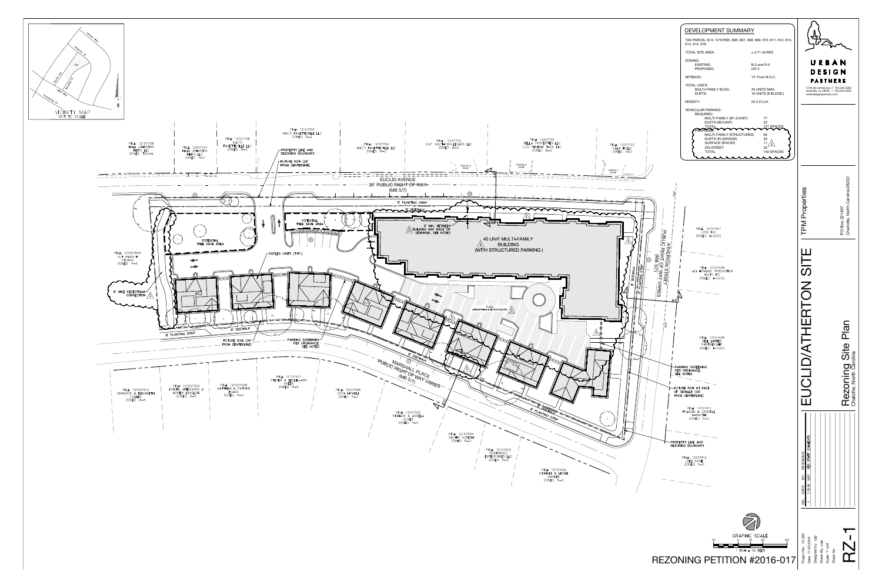